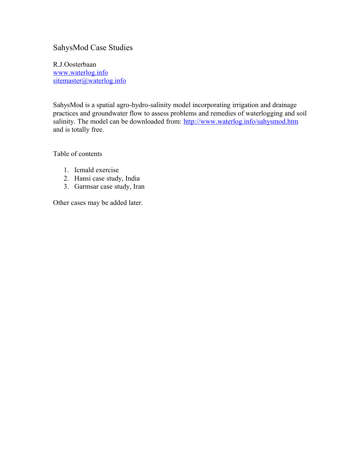# SahysMod Case Studies

R.J.Oosterbaan [www.waterlog.info](http://www.waterlog.info/) [sitemaster@waterlog.info](mailto:sitemaster@waterlog.info)

SahysMod is a spatial agro-hydro-salinity model incorporating irrigation and drainage practices and groundwater flow to assess problems and remedies of waterlogging and soil salinity. The model can be downloaded from:<http://www.waterlog.info/sahysmod.htm> and is totally free.

Table of contents

- 1. Icmald exercise
- 2. Hansi case study, India
- 3. Garmsar case study, Iran

Other cases may be added later.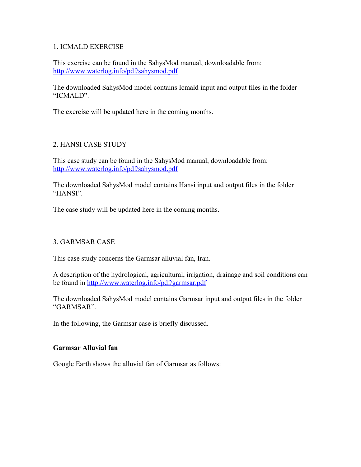## 1. ICMALD EXERCISE

This exercise can be found in the SahysMod manual, downloadable from: <http://www.waterlog.info/pdf/sahysmod.pdf>

The downloaded SahysMod model contains Icmald input and output files in the folder "ICMALD".

The exercise will be updated here in the coming months.

## 2. HANSI CASE STUDY

This case study can be found in the SahysMod manual, downloadable from: <http://www.waterlog.info/pdf/sahysmod.pdf>

The downloaded SahysMod model contains Hansi input and output files in the folder "HANSI".

The case study will be updated here in the coming months.

## 3. GARMSAR CASE

This case study concerns the Garmsar alluvial fan, Iran.

A description of the hydrological, agricultural, irrigation, drainage and soil conditions can be found in<http://www.waterlog.info/pdf/garmsar.pdf>

The downloaded SahysMod model contains Garmsar input and output files in the folder "GARMSAR".

In the following, the Garmsar case is briefly discussed.

#### **Garmsar Alluvial fan**

Google Earth shows the alluvial fan of Garmsar as follows: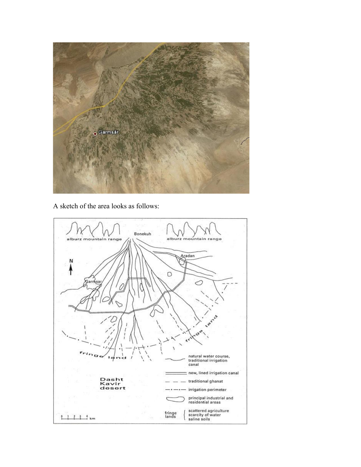

A sketch of the area looks as follows:

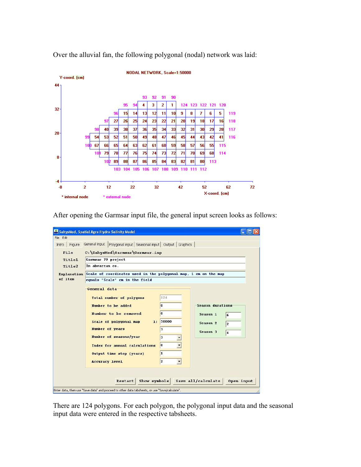

Over the alluvial fan, the following polygonal (nodal) network was laid:

After opening the Garmsar input file, the general input screen looks as follows:

| SahysMod, Spatial Agro-Hydro-Salinity Model                                 |                                                                                                |          |                                     |  |  |  |  |  |  |
|-----------------------------------------------------------------------------|------------------------------------------------------------------------------------------------|----------|-------------------------------------|--|--|--|--|--|--|
| File Edit                                                                   |                                                                                                |          |                                     |  |  |  |  |  |  |
| Figure<br>Intro                                                             | General input Polygonal input Seasonal input Output Graphics                                   |          |                                     |  |  |  |  |  |  |
| File                                                                        | C: \SahysMod\Garmsar\Garmsar.inp                                                               |          |                                     |  |  |  |  |  |  |
| Title1                                                                      | Garmsar 79 project                                                                             |          |                                     |  |  |  |  |  |  |
| Title2                                                                      | In abvarzan co.                                                                                |          |                                     |  |  |  |  |  |  |
| Explanation Scale of coordinates used in the polygonal map, 1 cm on the map |                                                                                                |          |                                     |  |  |  |  |  |  |
| of item                                                                     | equals "Scale" cm in the field                                                                 |          |                                     |  |  |  |  |  |  |
|                                                                             | General data                                                                                   |          |                                     |  |  |  |  |  |  |
|                                                                             | Total number of polygons                                                                       | 124      |                                     |  |  |  |  |  |  |
|                                                                             | Number to be added                                                                             | O        | Season durations                    |  |  |  |  |  |  |
|                                                                             | Number to be removed                                                                           | $\bf{0}$ |                                     |  |  |  |  |  |  |
|                                                                             |                                                                                                |          | Season 1<br>6                       |  |  |  |  |  |  |
|                                                                             | Scale of polygonal map<br>1:                                                                   | 50000    | Season <sub>2</sub><br>2            |  |  |  |  |  |  |
|                                                                             | Number of years                                                                                | з        | Season 3<br>$\overline{\mathbf{4}}$ |  |  |  |  |  |  |
|                                                                             | Nunber of seasons/year                                                                         | 3        |                                     |  |  |  |  |  |  |
|                                                                             | Index for annual calculations                                                                  | I٥       |                                     |  |  |  |  |  |  |
|                                                                             | Output time step (years)                                                                       | 1        |                                     |  |  |  |  |  |  |
|                                                                             | <b>Accuracy level</b>                                                                          | 12       |                                     |  |  |  |  |  |  |
|                                                                             |                                                                                                |          |                                     |  |  |  |  |  |  |
|                                                                             |                                                                                                |          |                                     |  |  |  |  |  |  |
| Show symbols<br>Save all/calculate<br>Open input<br><b>Restart</b>          |                                                                                                |          |                                     |  |  |  |  |  |  |
|                                                                             | Enter data, then use "Save data" and proceed to other data tabsheets, or use "Save/calculate". |          |                                     |  |  |  |  |  |  |

There are 124 polygons. For each polygon, the polygonal input data and the seasonal input data were entered in the respective tabsheets.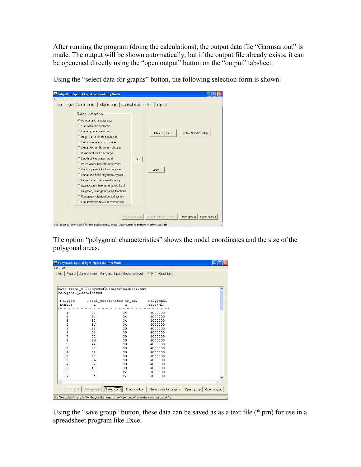After running the program (doing the calculations), the output data file "Garmsar.out" is made. The output will be shown automatically, but if the output file already exists, it can be openened directly using the "open output" button on the "output" tabsheet.

| File Edit |                                                                                                                                                                                                                                                                                                                                                                                                                                                                                                                                                                                                                                                                         |              |                                    |                  |             |
|-----------|-------------------------------------------------------------------------------------------------------------------------------------------------------------------------------------------------------------------------------------------------------------------------------------------------------------------------------------------------------------------------------------------------------------------------------------------------------------------------------------------------------------------------------------------------------------------------------------------------------------------------------------------------------------------------|--------------|------------------------------------|------------------|-------------|
| Intro     | Figure General input Polygonal input Seasonal input Output<br>Output categories<br>C Polygonal characteristss<br>C Soil salinities rootzone<br>C Underground salinities<br>C Irrigation and other salinities<br>C Salt storage at soil surface<br>C Groundwater flows in m/season<br>C Drain and well discharge<br>C Depth of the water table<br>C. Percolation from the root zone.<br>C Capillary rise into the rootzone<br>C Canal and field irrigation, bypass<br>C Irrigation efficiency/sufficiency<br>C Evaporation from unirrigated land<br>C Irrigated/unirrigated area fractions<br>C Frequency distribution soil salinity<br>C Groundwater flows in m3/season | Go           | Graphics<br>Mapping help<br>Cancel | Show network map |             |
|           |                                                                                                                                                                                                                                                                                                                                                                                                                                                                                                                                                                                                                                                                         | Show symbols | Select data for graphs             | Open group       | Open output |

Using the "select data for graphs" button, the following selection form is shown:

The option "polygonal characteristics" shows the nodal coordinates and the size of the polygonal areas.

| File Edit             | SahysMod, Spatial Agro-Hydro-Salinity Model |                                                                                                            |                        |                           |  |  |
|-----------------------|---------------------------------------------|------------------------------------------------------------------------------------------------------------|------------------------|---------------------------|--|--|
|                       |                                             |                                                                                                            |                        |                           |  |  |
| Figure  <br>Intro     |                                             | General input   Polygonal input   Seasonal input   Output   Graphics                                       |                        |                           |  |  |
|                       |                                             |                                                                                                            |                        |                           |  |  |
|                       |                                             |                                                                                                            |                        |                           |  |  |
|                       |                                             |                                                                                                            |                        |                           |  |  |
|                       |                                             | Data from: C:\SahysMod\Garmsar\Garmsar.out                                                                 |                        | $\overline{\phantom{a}}$  |  |  |
| Polygonal coordinates |                                             |                                                                                                            |                        |                           |  |  |
|                       |                                             |                                                                                                            |                        | Ξ                         |  |  |
| Polygon               | Nodal coordinates in cm.                    |                                                                                                            | Polygonal              |                           |  |  |
| number                | X                                           | Y                                                                                                          | area(m2)               |                           |  |  |
| $n_{-}$               |                                             |                                                                                                            |                        |                           |  |  |
| 1                     | 38                                          | 34                                                                                                         | 4000000                |                           |  |  |
| $\overline{c}$        | 34                                          | 34                                                                                                         | 4000000                |                           |  |  |
| 3                     | 30                                          | 34                                                                                                         | 4000000                |                           |  |  |
| $\overline{4}$        | 26                                          | 34                                                                                                         | 4000000                |                           |  |  |
| 5                     | 58                                          | 30                                                                                                         | 4000000                |                           |  |  |
| 6                     | 54                                          | 30                                                                                                         | 4000000                |                           |  |  |
| 7                     | 50                                          | 30                                                                                                         | 4000000                |                           |  |  |
| 8                     | 46                                          | 30                                                                                                         | 4000000                |                           |  |  |
| 9                     | 42                                          | 30                                                                                                         | 4000000                |                           |  |  |
| 10                    | 38                                          | 30                                                                                                         | 4000000                |                           |  |  |
| 11                    | 34                                          | 30                                                                                                         | 4000000                |                           |  |  |
| 12                    | 30                                          | 30                                                                                                         | 4000000                |                           |  |  |
| 13                    | 26                                          | 30                                                                                                         | 4000000                |                           |  |  |
| 14                    | 22                                          | 30                                                                                                         | 4000000                |                           |  |  |
| 15                    | 18                                          | 30                                                                                                         | 4000000                |                           |  |  |
| 16                    | 58                                          | 26                                                                                                         | 4000000                |                           |  |  |
| 17                    | 54                                          | 26                                                                                                         | 4000000                |                           |  |  |
|                       |                                             |                                                                                                            |                        |                           |  |  |
|                       |                                             |                                                                                                            |                        | $\geq$                    |  |  |
| Go to input           | See graph                                   | Save group<br>Show symbols                                                                                 | Select data for graphs | Open output<br>Open group |  |  |
|                       |                                             | Use "Select data for graphs" for the graphics menu, or use "Open output" to retrieve an other output file. |                        |                           |  |  |

Using the "save group" button, these data can be saved as as a text file (\*.prn) for use in a spreadsheet program like Excel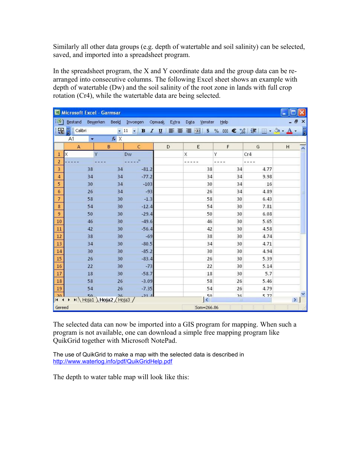Similarly all other data groups (e.g. depth of watertable and soil salinity) can be selected, saved, and imported into a spreadsheet program.

In the spreadsheet program, the X and Y coordinate data and the group data can be rearranged into consecutive columns. The following Excel sheet shows an example with depth of watertable (Dw) and the soil salinity of the root zone in lands with full crop rotation (Cr4), while the watertable data are being selected.

| Microsoft Excel - Garmsar |                        |    |                                |                 |                 |                             |            |      |     |                         |
|---------------------------|------------------------|----|--------------------------------|-----------------|-----------------|-----------------------------|------------|------|-----|-------------------------|
|                           | Bestand Bewerken Beeld |    |                                | Invoegen        | Opmaak<br>Extra | Data<br>Venster             | Help       |      | . ප | $\mathbf{x}$            |
|                           | <b>See E</b> Calibri   |    |                                |                 |                 |                             |            |      |     | H                       |
|                           | A1                     | ۰  | $f_x$ $\times$                 |                 |                 |                             |            |      |     |                         |
|                           | $\mathsf{A}$           |    | B                              | $\mathsf{C}$    | $\mathsf D$     | E                           | F          | G    | H   | $\overline{\mathbf{v}}$ |
| $\mathbf{1}$              | Χ                      | Y  |                                | Dw              |                 | X                           | Υ          | Cr4  |     |                         |
| $\overline{2}$            |                        |    |                                | $\mathbf{H}$    |                 |                             |            | ---- |     |                         |
| 3                         |                        | 38 | 34                             | $-81.2$         |                 | 38                          | 34         | 4.77 |     |                         |
| $\overline{4}$            |                        | 34 | 34                             | $-77.2$         |                 | 34                          | 34         | 9.98 |     |                         |
| 5                         |                        | 30 | 34                             | $-103$          |                 | 30                          | 34         | 16   |     |                         |
| 6 <sup>1</sup>            |                        | 26 | 34                             | $-93$           |                 | 26                          | 34         | 4.89 |     | 릐                       |
| $\overline{7}$            |                        | 58 | 30                             | $-1.3$          |                 | 58                          | 30         | 6.43 |     |                         |
| $\bf 8$                   |                        | 54 | 30                             | $-12.4$         |                 | 54                          | 30         | 7.81 |     |                         |
| 9                         |                        | 50 | 30                             | $-29.4$         |                 | 50                          | 30         | 6.08 |     |                         |
| 10                        |                        | 46 | 30                             | $-49.6$         |                 | 46                          | 30         | 5.65 |     |                         |
| $11\,$                    |                        | 42 | 30                             | $-56.4$         |                 | 42                          | 30         | 4.58 |     |                         |
| $12$                      |                        | 38 | 30                             | $-69$           |                 | 38                          | 30         | 4.74 |     |                         |
| 13                        |                        | 34 | 30                             | $-80.5$         |                 | 34                          | 30         | 4.71 |     |                         |
| $14\,$                    |                        | 30 | 30                             | $-85.2$         |                 | 30                          | 30         | 4.94 |     |                         |
| 15                        |                        | 26 | 30                             | $-83.4$         |                 | 26                          | 30         | 5.39 |     |                         |
| $16\,$                    |                        | 22 | 30                             | $-73$           |                 | 22                          | 30         | 5.14 |     |                         |
| $17\,$                    |                        | 18 | 30                             | $-58.7$         |                 | 18                          | 30         | 5.7  |     |                         |
| $18\,$                    |                        | 58 | 26                             | $-3.09$         |                 | 58                          | 26         | 5.46 |     |                         |
| 19                        |                        | 54 | 26                             | $-7.35$         |                 | 54                          | 26         | 4.79 |     |                         |
| 20<br>$H \leftarrow$      |                        | 50 | 26<br>M Hoja1 \Hoja2 / Hoja3 / | $-21$ $\Lambda$ |                 | $\mathbf{K}^{\mathbf{S}^n}$ | 26<br>TILL | 5 77 |     | ×                       |
| Gereed                    |                        |    |                                |                 |                 | Som=266.86                  |            |      |     |                         |
|                           |                        |    |                                |                 |                 |                             |            |      |     |                         |

The selected data can now be imported into a GIS program for mapping. When such a program is not available, one can download a simple free mapping program like QuikGrid together with Microsoft NotePad.

The use of QuikGrid to make a map with the selected data is described in <http://www.waterlog.info/pdf/QuikGridHelp.pdf>

The depth to water table map will look like this: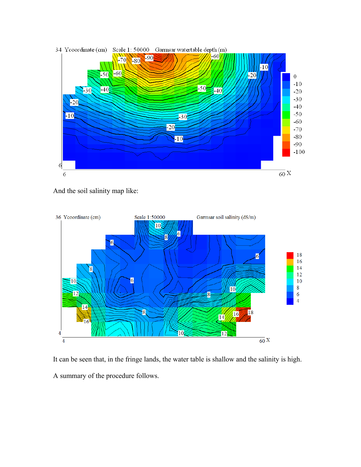

And the soil salinity map like:



It can be seen that, in the fringe lands, the water table is shallow and the salinity is high. A summary of the procedure follows.